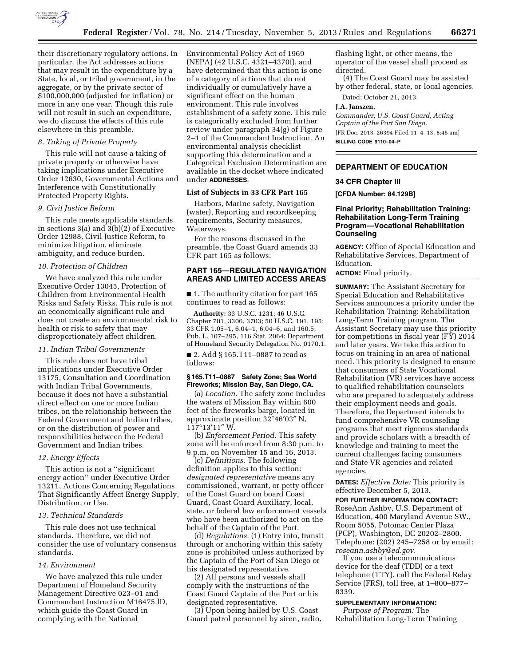

their discretionary regulatory actions. In particular, the Act addresses actions that may result in the expenditure by a State, local, or tribal government, in the aggregate, or by the private sector of \$100,000,000 (adjusted for inflation) or more in any one year. Though this rule will not result in such an expenditure, we do discuss the effects of this rule elsewhere in this preamble.

## *8. Taking of Private Property*

This rule will not cause a taking of private property or otherwise have taking implications under Executive Order 12630, Governmental Actions and Interference with Constitutionally Protected Property Rights.

#### *9. Civil Justice Reform*

This rule meets applicable standards in sections 3(a) and 3(b)(2) of Executive Order 12988, Civil Justice Reform, to minimize litigation, eliminate ambiguity, and reduce burden.

#### *10. Protection of Children*

We have analyzed this rule under Executive Order 13045, Protection of Children from Environmental Health Risks and Safety Risks. This rule is not an economically significant rule and does not create an environmental risk to health or risk to safety that may disproportionately affect children.

#### *11. Indian Tribal Governments*

This rule does not have tribal implications under Executive Order 13175, Consultation and Coordination with Indian Tribal Governments, because it does not have a substantial direct effect on one or more Indian tribes, on the relationship between the Federal Government and Indian tribes, or on the distribution of power and responsibilities between the Federal Government and Indian tribes.

### *12. Energy Effects*

This action is not a ''significant energy action'' under Executive Order 13211, Actions Concerning Regulations That Significantly Affect Energy Supply, Distribution, or Use.

#### *13. Technical Standards*

This rule does not use technical standards. Therefore, we did not consider the use of voluntary consensus standards.

#### *14. Environment*

We have analyzed this rule under Department of Homeland Security Management Directive 023–01 and Commandant Instruction M16475.lD, which guide the Coast Guard in complying with the National

Environmental Policy Act of 1969 (NEPA) (42 U.S.C. 4321–4370f), and have determined that this action is one of a category of actions that do not individually or cumulatively have a significant effect on the human environment. This rule involves establishment of a safety zone. This rule is categorically excluded from further review under paragraph 34(g) of Figure 2–1 of the Commandant Instruction. An environmental analysis checklist supporting this determination and a Categorical Exclusion Determination are available in the docket where indicated under **ADDRESSES**.

### **List of Subjects in 33 CFR Part 165**

Harbors, Marine safety, Navigation (water), Reporting and recordkeeping requirements, Security measures, Waterways.

For the reasons discussed in the preamble, the Coast Guard amends 33 CFR part 165 as follows:

# **PART 165—REGULATED NAVIGATION AREAS AND LIMITED ACCESS AREAS**

■ 1. The authority citation for part 165 continues to read as follows:

**Authority:** 33 U.S.C. 1231; 46 U.S.C. Chapter 701, 3306, 3703; 50 U.S.C. 191, 195; 33 CFR 1.05–1, 6.04–1, 6.04–6, and 160.5; Pub. L. 107–295, 116 Stat. 2064; Department of Homeland Security Delegation No. 0170.1.

■ 2. Add § 165.T11–0887 to read as follows:

## **§ 165.T11–0887 Safety Zone; Sea World Fireworks; Mission Bay, San Diego, CA.**

(a) *Location.* The safety zone includes the waters of Mission Bay within 600 feet of the fireworks barge, located in approximate position 32°46′03″ N, 117°13′11″ W.

(b) *Enforcement Period.* This safety zone will be enforced from 8:30 p.m. to 9 p.m. on November 15 and 16, 2013.

(c) *Definitions.* The following definition applies to this section: *designated representative* means any commissioned, warrant, or petty officer of the Coast Guard on board Coast Guard, Coast Guard Auxiliary, local, state, or federal law enforcement vessels who have been authorized to act on the behalf of the Captain of the Port.

(d) *Regulations.* (1) Entry into, transit through or anchoring within this safety zone is prohibited unless authorized by the Captain of the Port of San Diego or his designated representative.

(2) All persons and vessels shall comply with the instructions of the Coast Guard Captain of the Port or his designated representative.

(3) Upon being hailed by U.S. Coast Guard patrol personnel by siren, radio, flashing light, or other means, the operator of the vessel shall proceed as directed.

(4) The Coast Guard may be assisted by other federal, state, or local agencies.

Dated: October 21, 2013.

### **J.A. Janszen,**

*Commander, U.S. Coast Guard, Acting Captain of the Port San Diego.*  [FR Doc. 2013–26394 Filed 11–4–13; 8:45 am] **BILLING CODE 9110–04–P** 

# **DEPARTMENT OF EDUCATION**

## **34 CFR Chapter III**

**[CFDA Number: 84.129B]** 

## **Final Priority; Rehabilitation Training: Rehabilitation Long-Term Training Program—Vocational Rehabilitation Counseling**

**AGENCY:** Office of Special Education and Rehabilitative Services, Department of Education.

**ACTION:** Final priority.

**SUMMARY:** The Assistant Secretary for Special Education and Rehabilitative Services announces a priority under the Rehabilitation Training: Rehabilitation Long-Term Training program. The Assistant Secretary may use this priority for competitions in fiscal year (FY) 2014 and later years. We take this action to focus on training in an area of national need. This priority is designed to ensure that consumers of State Vocational Rehabilitation (VR) services have access to qualified rehabilitation counselors who are prepared to adequately address their employment needs and goals. Therefore, the Department intends to fund comprehensive VR counseling programs that meet rigorous standards and provide scholars with a breadth of knowledge and training to meet the current challenges facing consumers and State VR agencies and related agencies.

**DATES:** *Effective Date:* This priority is effective December 5, 2013.

**FOR FURTHER INFORMATION CONTACT:**  RoseAnn Ashby, U.S. Department of Education, 400 Maryland Avenue SW., Room 5055, Potomac Center Plaza (PCP), Washington, DC 20202–2800. Telephone: (202) 245–7258 or by email: *[roseann.ashby@ed.gov](mailto:roseann.ashby@ed.gov)*.

If you use a telecommunications device for the deaf (TDD) or a text telephone (TTY), call the Federal Relay Service (FRS), toll free, at 1–800–877– 8339.

#### **SUPPLEMENTARY INFORMATION:**

*Purpose of Program:* The Rehabilitation Long-Term Training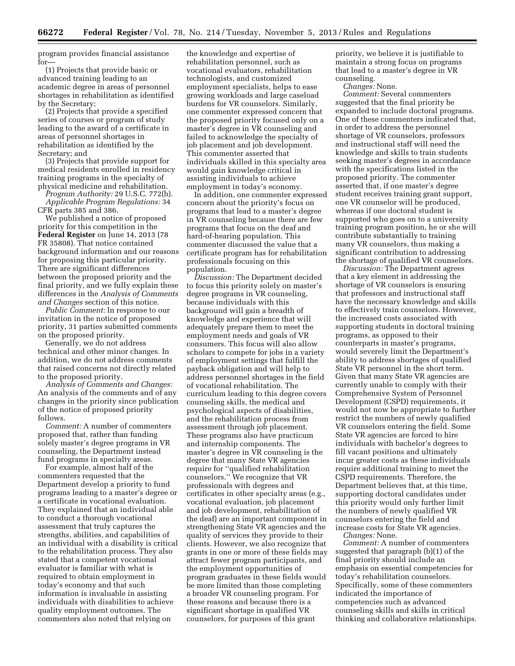program provides financial assistance for—

(1) Projects that provide basic or advanced training leading to an academic degree in areas of personnel shortages in rehabilitation as identified by the Secretary;

(2) Projects that provide a specified series of courses or program of study leading to the award of a certificate in areas of personnel shortages in rehabilitation as identified by the Secretary; and

(3) Projects that provide support for medical residents enrolled in residency training programs in the specialty of physical medicine and rehabilitation.

*Program Authority:* 29 U.S.C. 772(b). *Applicable Program Regulations:* 34 CFR parts 385 and 386.

We published a notice of proposed priority for this competition in the **Federal Register** on June 14, 2013 (78 FR 35808). That notice contained background information and our reasons for proposing this particular priority. There are significant differences between the proposed priority and the final priority, and we fully explain these differences in the *Analysis of Comments and Changes* section of this notice.

*Public Comment:* In response to our invitation in the notice of proposed priority, 31 parties submitted comments on the proposed priority.

Generally, we do not address technical and other minor changes. In addition, we do not address comments that raised concerns not directly related to the proposed priority.

*Analysis of Comments and Changes:*  An analysis of the comments and of any changes in the priority since publication of the notice of proposed priority follows.

*Comment:* A number of commenters proposed that, rather than funding solely master's degree programs in VR counseling, the Department instead fund programs in specialty areas.

For example, almost half of the commenters requested that the Department develop a priority to fund programs leading to a master's degree or a certificate in vocational evaluation. They explained that an individual able to conduct a thorough vocational assessment that truly captures the strengths, abilities, and capabilities of an individual with a disability is critical to the rehabilitation process. They also stated that a competent vocational evaluator is familiar with what is required to obtain employment in today's economy and that such information is invaluable in assisting individuals with disabilities to achieve quality employment outcomes. The commenters also noted that relying on

the knowledge and expertise of rehabilitation personnel, such as vocational evaluators, rehabilitation technologists, and customized employment specialists, helps to ease growing workloads and large caseload burdens for VR counselors. Similarly, one commenter expressed concern that the proposed priority focused only on a master's degree in VR counseling and failed to acknowledge the specialty of job placement and job development. This commenter asserted that individuals skilled in this specialty area would gain knowledge critical in assisting individuals to achieve employment in today's economy.

In addition, one commenter expressed concern about the priority's focus on programs that lead to a master's degree in VR counseling because there are few programs that focus on the deaf and hard-of-hearing population. This commenter discussed the value that a certificate program has for rehabilitation professionals focusing on this population.

*Discussion:* The Department decided to focus this priority solely on master's degree programs in VR counseling, because individuals with this background will gain a breadth of knowledge and experience that will adequately prepare them to meet the employment needs and goals of VR consumers. This focus will also allow scholars to compete for jobs in a variety of employment settings that fulfill the payback obligation and will help to address personnel shortages in the field of vocational rehabilitation. The curriculum leading to this degree covers counseling skills, the medical and psychological aspects of disabilities, and the rehabilitation process from assessment through job placement. These programs also have practicum and internship components. The master's degree in VR counseling is the degree that many State VR agencies require for ''qualified rehabilitation counselors.'' We recognize that VR professionals with degrees and certificates in other specialty areas (e.g., vocational evaluation, job placement and job development, rehabilitation of the deaf) are an important component in strengthening State VR agencies and the quality of services they provide to their clients. However, we also recognize that grants in one or more of these fields may attract fewer program participants, and the employment opportunities of program graduates in these fields would be more limited than those completing a broader VR counseling program. For these reasons and because there is a significant shortage in qualified VR counselors, for purposes of this grant

priority, we believe it is justifiable to maintain a strong focus on programs that lead to a master's degree in VR counseling.

*Changes:* None.

*Comment:* Several commenters suggested that the final priority be expanded to include doctoral programs. One of these commenters indicated that, in order to address the personnel shortage of VR counselors, professors and instructional staff will need the knowledge and skills to train students seeking master's degrees in accordance with the specifications listed in the proposed priority. The commenter asserted that, if one master's degree student receives training grant support, one VR counselor will be produced, whereas if one doctoral student is supported who goes on to a university training program position, he or she will contribute substantially to training many VR counselors, thus making a significant contribution to addressing the shortage of qualified VR counselors.

*Discussion:* The Department agrees that a key element in addressing the shortage of VR counselors is ensuring that professors and instructional staff have the necessary knowledge and skills to effectively train counselors. However, the increased costs associated with supporting students in doctoral training programs, as opposed to their counterparts in master's programs, would severely limit the Department's ability to address shortages of qualified State VR personnel in the short term. Given that many State VR agencies are currently unable to comply with their Comprehensive System of Personnel Development (CSPD) requirements, it would not now be appropriate to further restrict the numbers of newly qualified VR counselors entering the field. Some State VR agencies are forced to hire individuals with bachelor's degrees to fill vacant positions and ultimately incur greater costs as these individuals require additional training to meet the CSPD requirements. Therefore, the Department believes that, at this time, supporting doctoral candidates under this priority would only further limit the numbers of newly qualified VR counselors entering the field and increase costs for State VR agencies. *Changes:* None.

*Comment:* A number of commenters suggested that paragraph (b)(1) of the final priority should include an emphasis on essential competencies for today's rehabilitation counselors. Specifically, some of these commenters indicated the importance of competencies such as advanced counseling skills and skills in critical thinking and collaborative relationships.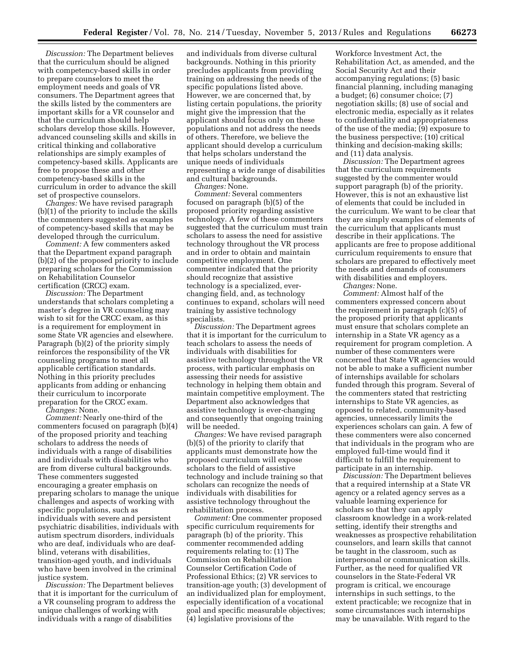*Discussion:* The Department believes that the curriculum should be aligned with competency-based skills in order to prepare counselors to meet the employment needs and goals of VR consumers. The Department agrees that the skills listed by the commenters are important skills for a VR counselor and that the curriculum should help scholars develop those skills. However, advanced counseling skills and skills in critical thinking and collaborative relationships are simply examples of competency-based skills. Applicants are free to propose these and other competency-based skills in the curriculum in order to advance the skill set of prospective counselors.

*Changes:* We have revised paragraph (b)(1) of the priority to include the skills the commenters suggested as examples of competency-based skills that may be developed through the curriculum.

*Comment:* A few commenters asked that the Department expand paragraph (b)(2) of the proposed priority to include preparing scholars for the Commission on Rehabilitation Counselor certification (CRCC) exam.

*Discussion:* The Department understands that scholars completing a master's degree in VR counseling may wish to sit for the CRCC exam, as this is a requirement for employment in some State VR agencies and elsewhere. Paragraph (b)(2) of the priority simply reinforces the responsibility of the VR counseling programs to meet all applicable certification standards. Nothing in this priority precludes applicants from adding or enhancing their curriculum to incorporate preparation for the CRCC exam.

*Changes:* None.

*Comment:* Nearly one-third of the commenters focused on paragraph (b)(4) of the proposed priority and teaching scholars to address the needs of individuals with a range of disabilities and individuals with disabilities who are from diverse cultural backgrounds. These commenters suggested encouraging a greater emphasis on preparing scholars to manage the unique challenges and aspects of working with specific populations, such as individuals with severe and persistent psychiatric disabilities, individuals with autism spectrum disorders, individuals who are deaf, individuals who are deafblind, veterans with disabilities, transition-aged youth, and individuals who have been involved in the criminal justice system.

*Discussion:* The Department believes that it is important for the curriculum of a VR counseling program to address the unique challenges of working with individuals with a range of disabilities

and individuals from diverse cultural backgrounds. Nothing in this priority precludes applicants from providing training on addressing the needs of the specific populations listed above. However, we are concerned that, by listing certain populations, the priority might give the impression that the applicant should focus only on these populations and not address the needs of others. Therefore, we believe the applicant should develop a curriculum that helps scholars understand the unique needs of individuals representing a wide range of disabilities and cultural backgrounds.

*Changes:* None.

*Comment:* Several commenters focused on paragraph (b)(5) of the proposed priority regarding assistive technology. A few of these commenters suggested that the curriculum must train scholars to assess the need for assistive technology throughout the VR process and in order to obtain and maintain competitive employment. One commenter indicated that the priority should recognize that assistive technology is a specialized, everchanging field, and, as technology continues to expand, scholars will need training by assistive technology specialists.

*Discussion:* The Department agrees that it is important for the curriculum to teach scholars to assess the needs of individuals with disabilities for assistive technology throughout the VR process, with particular emphasis on assessing their needs for assistive technology in helping them obtain and maintain competitive employment. The Department also acknowledges that assistive technology is ever-changing and consequently that ongoing training will be needed.

*Changes:* We have revised paragraph (b)(5) of the priority to clarify that applicants must demonstrate how the proposed curriculum will expose scholars to the field of assistive technology and include training so that scholars can recognize the needs of individuals with disabilities for assistive technology throughout the rehabilitation process.

*Comment:* One commenter proposed specific curriculum requirements for paragraph (b) of the priority. This commenter recommended adding requirements relating to: (1) The Commission on Rehabilitation Counselor Certification Code of Professional Ethics; (2) VR services to transition-age youth; (3) development of an individualized plan for employment, especially identification of a vocational goal and specific measurable objectives; (4) legislative provisions of the

Workforce Investment Act, the Rehabilitation Act, as amended, and the Social Security Act and their accompanying regulations; (5) basic financial planning, including managing a budget; (6) consumer choice; (7) negotiation skills; (8) use of social and electronic media, especially as it relates to confidentiality and appropriateness of the use of the media; (9) exposure to the business perspective; (10) critical thinking and decision-making skills; and (11) data analysis.

*Discussion:* The Department agrees that the curriculum requirements suggested by the commenter would support paragraph (b) of the priority. However, this is not an exhaustive list of elements that could be included in the curriculum. We want to be clear that they are simply examples of elements of the curriculum that applicants must describe in their applications. The applicants are free to propose additional curriculum requirements to ensure that scholars are prepared to effectively meet the needs and demands of consumers with disabilities and employers.

*Changes:* None.

*Comment:* Almost half of the commenters expressed concern about the requirement in paragraph (c)(5) of the proposed priority that applicants must ensure that scholars complete an internship in a State VR agency as a requirement for program completion. A number of these commenters were concerned that State VR agencies would not be able to make a sufficient number of internships available for scholars funded through this program. Several of the commenters stated that restricting internships to State VR agencies, as opposed to related, community-based agencies, unnecessarily limits the experiences scholars can gain. A few of these commenters were also concerned that individuals in the program who are employed full-time would find it difficult to fulfill the requirement to participate in an internship.

*Discussion:* The Department believes that a required internship at a State VR agency or a related agency serves as a valuable learning experience for scholars so that they can apply classroom knowledge in a work-related setting, identify their strengths and weaknesses as prospective rehabilitation counselors, and learn skills that cannot be taught in the classroom, such as interpersonal or communication skills. Further, as the need for qualified VR counselors in the State-Federal VR program is critical, we encourage internships in such settings, to the extent practicable; we recognize that in some circumstances such internships may be unavailable. With regard to the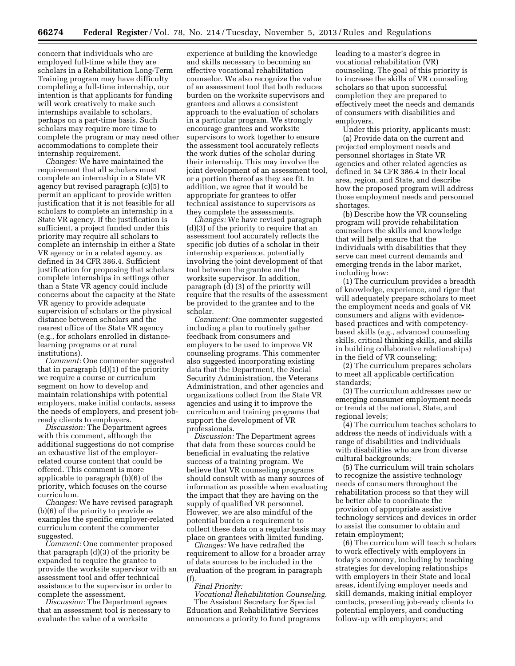concern that individuals who are employed full-time while they are scholars in a Rehabilitation Long-Term Training program may have difficulty completing a full-time internship, our intention is that applicants for funding will work creatively to make such internships available to scholars, perhaps on a part-time basis. Such scholars may require more time to complete the program or may need other accommodations to complete their internship requirement.

*Changes:* We have maintained the requirement that all scholars must complete an internship in a State VR agency but revised paragraph (c)(5) to permit an applicant to provide written justification that it is not feasible for all scholars to complete an internship in a State VR agency. If the justification is sufficient, a project funded under this priority may require all scholars to complete an internship in either a State VR agency or in a related agency, as defined in 34 CFR 386.4. Sufficient justification for proposing that scholars complete internships in settings other than a State VR agency could include concerns about the capacity at the State VR agency to provide adequate supervision of scholars or the physical distance between scholars and the nearest office of the State VR agency (e.g., for scholars enrolled in distancelearning programs or at rural institutions).

*Comment:* One commenter suggested that in paragraph (d)(1) of the priority we require a course or curriculum segment on how to develop and maintain relationships with potential employers, make initial contacts, assess the needs of employers, and present jobready clients to employers.

*Discussion:* The Department agrees with this comment, although the additional suggestions do not comprise an exhaustive list of the employerrelated course content that could be offered. This comment is more applicable to paragraph (b)(6) of the priority, which focuses on the course curriculum.

*Changes:* We have revised paragraph (b)(6) of the priority to provide as examples the specific employer-related curriculum content the commenter suggested.

*Comment:* One commenter proposed that paragraph (d)(3) of the priority be expanded to require the grantee to provide the worksite supervisor with an assessment tool and offer technical assistance to the supervisor in order to complete the assessment.

*Discussion:* The Department agrees that an assessment tool is necessary to evaluate the value of a worksite

experience at building the knowledge and skills necessary to becoming an effective vocational rehabilitation counselor. We also recognize the value of an assessment tool that both reduces burden on the worksite supervisors and grantees and allows a consistent approach to the evaluation of scholars in a particular program. We strongly encourage grantees and worksite supervisors to work together to ensure the assessment tool accurately reflects the work duties of the scholar during their internship. This may involve the joint development of an assessment tool, or a portion thereof as they see fit. In addition, we agree that it would be appropriate for grantees to offer technical assistance to supervisors as they complete the assessments.

*Changes:* We have revised paragraph (d)(3) of the priority to require that an assessment tool accurately reflects the specific job duties of a scholar in their internship experience, potentially involving the joint development of that tool between the grantee and the worksite supervisor. In addition, paragraph (d) (3) of the priority will require that the results of the assessment be provided to the grantee and to the scholar.

*Comment:* One commenter suggested including a plan to routinely gather feedback from consumers and employers to be used to improve VR counseling programs. This commenter also suggested incorporating existing data that the Department, the Social Security Administration, the Veterans Administration, and other agencies and organizations collect from the State VR agencies and using it to improve the curriculum and training programs that support the development of VR professionals.

*Discussion:* The Department agrees that data from these sources could be beneficial in evaluating the relative success of a training program. We believe that VR counseling programs should consult with as many sources of information as possible when evaluating the impact that they are having on the supply of qualified VR personnel. However, we are also mindful of the potential burden a requirement to collect these data on a regular basis may place on grantees with limited funding.

*Changes:* We have redrafted the requirement to allow for a broader array of data sources to be included in the evaluation of the program in paragraph (f).

# *Final Priority:*

*Vocational Rehabilitation Counseling.*  The Assistant Secretary for Special Education and Rehabilitative Services announces a priority to fund programs

leading to a master's degree in vocational rehabilitation (VR) counseling. The goal of this priority is to increase the skills of VR counseling scholars so that upon successful completion they are prepared to effectively meet the needs and demands of consumers with disabilities and employers.

Under this priority, applicants must: (a) Provide data on the current and projected employment needs and personnel shortages in State VR agencies and other related agencies as defined in 34 CFR 386.4 in their local area, region, and State, and describe how the proposed program will address those employment needs and personnel shortages.

(b) Describe how the VR counseling program will provide rehabilitation counselors the skills and knowledge that will help ensure that the individuals with disabilities that they serve can meet current demands and emerging trends in the labor market, including how:

(1) The curriculum provides a breadth of knowledge, experience, and rigor that will adequately prepare scholars to meet the employment needs and goals of VR consumers and aligns with evidencebased practices and with competencybased skills (e.g., advanced counseling skills, critical thinking skills, and skills in building collaborative relationships) in the field of VR counseling;

(2) The curriculum prepares scholars to meet all applicable certification standards;

(3) The curriculum addresses new or emerging consumer employment needs or trends at the national, State, and regional levels;

(4) The curriculum teaches scholars to address the needs of individuals with a range of disabilities and individuals with disabilities who are from diverse cultural backgrounds;

(5) The curriculum will train scholars to recognize the assistive technology needs of consumers throughout the rehabilitation process so that they will be better able to coordinate the provision of appropriate assistive technology services and devices in order to assist the consumer to obtain and retain employment;

(6) The curriculum will teach scholars to work effectively with employers in today's economy, including by teaching strategies for developing relationships with employers in their State and local areas, identifying employer needs and skill demands, making initial employer contacts, presenting job-ready clients to potential employers, and conducting follow-up with employers; and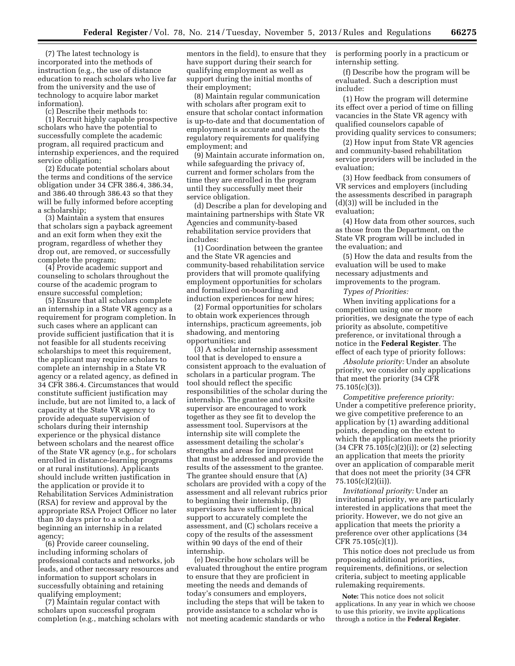(7) The latest technology is incorporated into the methods of instruction (e.g., the use of distance education to reach scholars who live far from the university and the use of technology to acquire labor market information).

(c) Describe their methods to:

(1) Recruit highly capable prospective scholars who have the potential to successfully complete the academic program, all required practicum and internship experiences, and the required service obligation;

(2) Educate potential scholars about the terms and conditions of the service obligation under 34 CFR 386.4, 386.34, and 386.40 through 386.43 so that they will be fully informed before accepting a scholarship;

(3) Maintain a system that ensures that scholars sign a payback agreement and an exit form when they exit the program, regardless of whether they drop out, are removed, or successfully complete the program;

(4) Provide academic support and counseling to scholars throughout the course of the academic program to ensure successful completion;

(5) Ensure that all scholars complete an internship in a State VR agency as a requirement for program completion. In such cases where an applicant can provide sufficient justification that it is not feasible for all students receiving scholarships to meet this requirement, the applicant may require scholars to complete an internship in a State VR agency or a related agency, as defined in 34 CFR 386.4. Circumstances that would constitute sufficient justification may include, but are not limited to, a lack of capacity at the State VR agency to provide adequate supervision of scholars during their internship experience or the physical distance between scholars and the nearest office of the State VR agency (e.g., for scholars enrolled in distance-learning programs or at rural institutions). Applicants should include written justification in the application or provide it to Rehabilitation Services Administration (RSA) for review and approval by the appropriate RSA Project Officer no later than 30 days prior to a scholar beginning an internship in a related agency;

(6) Provide career counseling, including informing scholars of professional contacts and networks, job leads, and other necessary resources and information to support scholars in successfully obtaining and retaining qualifying employment;

(7) Maintain regular contact with scholars upon successful program completion (e.g., matching scholars with

mentors in the field), to ensure that they have support during their search for qualifying employment as well as support during the initial months of their employment;

(8) Maintain regular communication with scholars after program exit to ensure that scholar contact information is up-to-date and that documentation of employment is accurate and meets the regulatory requirements for qualifying employment; and

(9) Maintain accurate information on, while safeguarding the privacy of, current and former scholars from the time they are enrolled in the program until they successfully meet their service obligation.

(d) Describe a plan for developing and maintaining partnerships with State VR Agencies and community-based rehabilitation service providers that includes:

(1) Coordination between the grantee and the State VR agencies and community-based rehabilitation service providers that will promote qualifying employment opportunities for scholars and formalized on-boarding and induction experiences for new hires;

(2) Formal opportunities for scholars to obtain work experiences through internships, practicum agreements, job shadowing, and mentoring opportunities; and

(3) A scholar internship assessment tool that is developed to ensure a consistent approach to the evaluation of scholars in a particular program. The tool should reflect the specific responsibilities of the scholar during the internship. The grantee and worksite supervisor are encouraged to work together as they see fit to develop the assessment tool. Supervisors at the internship site will complete the assessment detailing the scholar's strengths and areas for improvement that must be addressed and provide the results of the assessment to the grantee. The grantee should ensure that (A) scholars are provided with a copy of the assessment and all relevant rubrics prior to beginning their internship, (B) supervisors have sufficient technical support to accurately complete the assessment, and (C) scholars receive a copy of the results of the assessment within 90 days of the end of their internship.

(e) Describe how scholars will be evaluated throughout the entire program to ensure that they are proficient in meeting the needs and demands of today's consumers and employers, including the steps that will be taken to provide assistance to a scholar who is not meeting academic standards or who

is performing poorly in a practicum or internship setting.

(f) Describe how the program will be evaluated. Such a description must include:

(1) How the program will determine its effect over a period of time on filling vacancies in the State VR agency with qualified counselors capable of providing quality services to consumers;

(2) How input from State VR agencies and community-based rehabilitation service providers will be included in the evaluation;

(3) How feedback from consumers of VR services and employers (including the assessments described in paragraph (d)(3)) will be included in the evaluation;

(4) How data from other sources, such as those from the Department, on the State VR program will be included in the evaluation; and

(5) How the data and results from the evaluation will be used to make necessary adjustments and improvements to the program.

*Types of Priorities:* 

When inviting applications for a competition using one or more priorities, we designate the type of each priority as absolute, competitive preference, or invitational through a notice in the **Federal Register**. The effect of each type of priority follows:

*Absolute priority:* Under an absolute priority, we consider only applications that meet the priority (34 CFR 75.105(c)(3)).

*Competitive preference priority:*  Under a competitive preference priority, we give competitive preference to an application by (1) awarding additional points, depending on the extent to which the application meets the priority (34 CFR 75.105(c)(2)(i)); or (2) selecting an application that meets the priority over an application of comparable merit that does not meet the priority (34 CFR 75.105(c)(2)(ii)).

*Invitational priority:* Under an invitational priority, we are particularly interested in applications that meet the priority. However, we do not give an application that meets the priority a preference over other applications (34 CFR 75.105(c)(1)).

This notice does not preclude us from proposing additional priorities, requirements, definitions, or selection criteria, subject to meeting applicable rulemaking requirements.

**Note:** This notice does not solicit applications. In any year in which we choose to use this priority, we invite applications through a notice in the **Federal Register**.